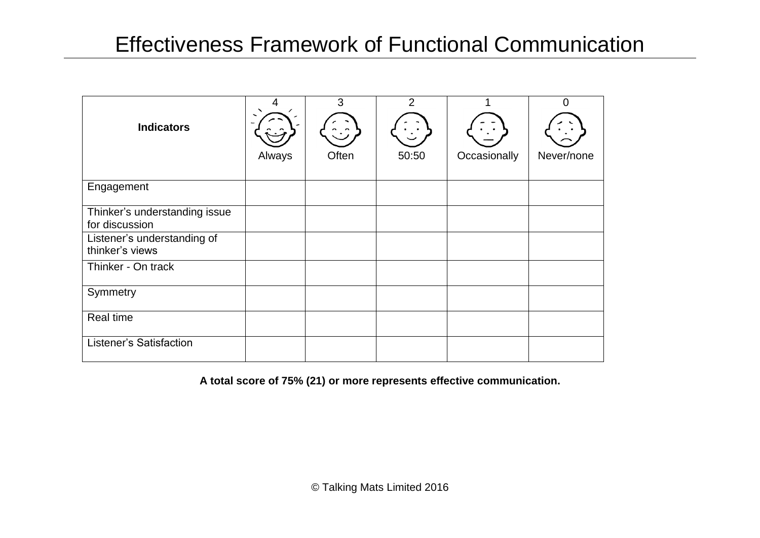## Effectiveness Framework of Functional Communication

| <b>Indicators</b>                               | Always | 3<br>Often | $\overline{2}$<br>50:50 | Occasionally | 0<br>Never/none |
|-------------------------------------------------|--------|------------|-------------------------|--------------|-----------------|
| Engagement                                      |        |            |                         |              |                 |
| Thinker's understanding issue<br>for discussion |        |            |                         |              |                 |
| Listener's understanding of<br>thinker's views  |        |            |                         |              |                 |
| Thinker - On track                              |        |            |                         |              |                 |
| Symmetry                                        |        |            |                         |              |                 |
| Real time                                       |        |            |                         |              |                 |
| Listener's Satisfaction                         |        |            |                         |              |                 |

**A total score of 75% (21) or more represents effective communication.**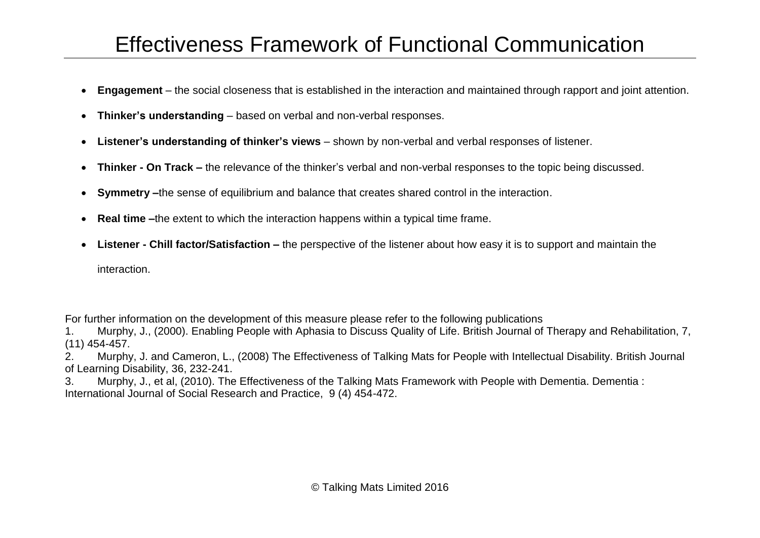# Effectiveness Framework of Functional Communication

- **Engagement** the social closeness that is established in the interaction and maintained through rapport and joint attention.
- **Thinker's understanding** based on verbal and non-verbal responses.
- **Listener's understanding of thinker's views** shown by non-verbal and verbal responses of listener.
- **Thinker - On Track –** the relevance of the thinker's verbal and non-verbal responses to the topic being discussed.
- **Symmetry –**the sense of equilibrium and balance that creates shared control in the interaction.
- **Real time –**the extent to which the interaction happens within a typical time frame.
- **Listener - Chill factor/Satisfaction –** the perspective of the listener about how easy it is to support and maintain the

interaction.

For further information on the development of this measure please refer to the following publications

1. Murphy, J., (2000). Enabling People with Aphasia to Discuss Quality of Life. British Journal of Therapy and Rehabilitation, 7, (11) 454-457.

2. Murphy, J. and Cameron, L., (2008) The Effectiveness of Talking Mats for People with Intellectual Disability. British Journal of Learning Disability, 36, 232-241.

3. Murphy, J., et al, (2010). The Effectiveness of the Talking Mats Framework with People with Dementia. Dementia : International Journal of Social Research and Practice, 9 (4) 454-472.